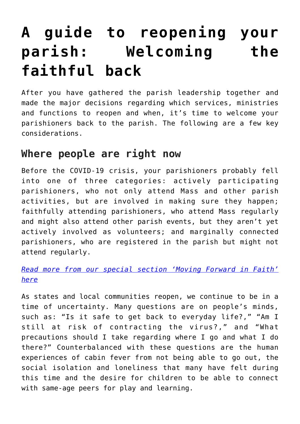# **[A guide to reopening your](https://www.osvnews.com/amp/2020/06/02/a-guide-to-reopening-your-parish-welcoming-the-faithful-back/) [parish: Welcoming the](https://www.osvnews.com/amp/2020/06/02/a-guide-to-reopening-your-parish-welcoming-the-faithful-back/) [faithful back](https://www.osvnews.com/amp/2020/06/02/a-guide-to-reopening-your-parish-welcoming-the-faithful-back/)**

After you have gathered the parish leadership together and made the major decisions regarding which services, ministries and functions to reopen and when, it's time to welcome your parishioners back to the parish. The following are a few key considerations.

## **Where people are right now**

Before the COVID-19 crisis, your parishioners probably fell into one of three categories: actively participating parishioners, who not only attend Mass and other parish activities, but are involved in making sure they happen; faithfully attending parishioners, who attend Mass regularly and might also attend other parish events, but they aren't yet actively involved as volunteers; and marginally connected parishioners, who are registered in the parish but might not attend regularly.

*[Read more from our special section 'Moving Forward in Faith'](https://www.osvnews.com/tag/reopening-special-section/) [here](https://www.osvnews.com/tag/reopening-special-section/)*

As states and local communities reopen, we continue to be in a time of uncertainty. Many questions are on people's minds, such as: "Is it safe to get back to everyday life?," "Am I still at risk of contracting the virus?," and "What precautions should I take regarding where I go and what I do there?" Counterbalanced with these questions are the human experiences of cabin fever from not being able to go out, the social isolation and loneliness that many have felt during this time and the desire for children to be able to connect with same-age peers for play and learning.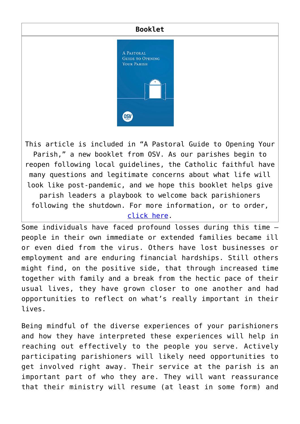#### **Booklet**



This article is included in "A Pastoral Guide to Opening Your Parish," a new booklet from OSV. As our parishes begin to reopen following local guidelines, the Catholic faithful have many questions and legitimate concerns about what life will look like post-pandemic, and we hope this booklet helps give parish leaders a playbook to welcome back parishioners following the shutdown. For more information, or to order, [click here](https://www.osvcatholicbookstore.com/product/a-pastoral-guide-to-opening-your-parish).

Some individuals have faced profound losses during this time people in their own immediate or extended families became ill or even died from the virus. Others have lost businesses or employment and are enduring financial hardships. Still others might find, on the positive side, that through increased time together with family and a break from the hectic pace of their usual lives, they have grown closer to one another and had opportunities to reflect on what's really important in their lives.

Being mindful of the diverse experiences of your parishioners and how they have interpreted these experiences will help in reaching out effectively to the people you serve. Actively participating parishioners will likely need opportunities to get involved right away. Their service at the parish is an important part of who they are. They will want reassurance that their ministry will resume (at least in some form) and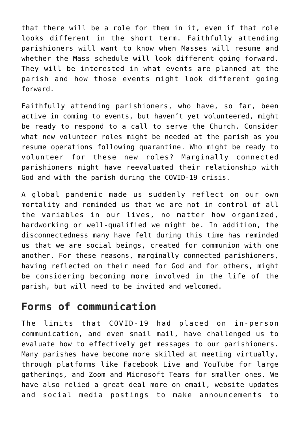that there will be a role for them in it, even if that role looks different in the short term. Faithfully attending parishioners will want to know when Masses will resume and whether the Mass schedule will look different going forward. They will be interested in what events are planned at the parish and how those events might look different going forward.

Faithfully attending parishioners, who have, so far, been active in coming to events, but haven't yet volunteered, might be ready to respond to a call to serve the Church. Consider what new volunteer roles might be needed at the parish as you resume operations following quarantine. Who might be ready to volunteer for these new roles? Marginally connected parishioners might have reevaluated their relationship with God and with the parish during the COVID-19 crisis.

A global pandemic made us suddenly reflect on our own mortality and reminded us that we are not in control of all the variables in our lives, no matter how organized, hardworking or well-qualified we might be. In addition, the disconnectedness many have felt during this time has reminded us that we are social beings, created for communion with one another. For these reasons, marginally connected parishioners, having reflected on their need for God and for others, might be considering becoming more involved in the life of the parish, but will need to be invited and welcomed.

# **Forms of communication**

The limits that COVID-19 had placed on in-person communication, and even snail mail, have challenged us to evaluate how to effectively get messages to our parishioners. Many parishes have become more skilled at meeting virtually, through platforms like Facebook Live and YouTube for large gatherings, and Zoom and Microsoft Teams for smaller ones. We have also relied a great deal more on email, website updates and social media postings to make announcements to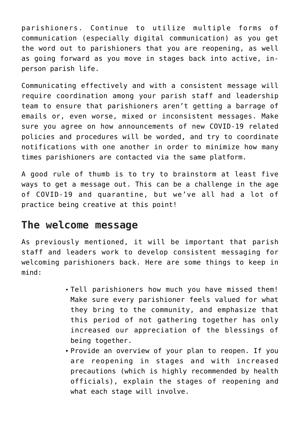parishioners. Continue to utilize multiple forms of communication (especially digital communication) as you get the word out to parishioners that you are reopening, as well as going forward as you move in stages back into active, inperson parish life.

Communicating effectively and with a consistent message will require coordination among your parish staff and leadership team to ensure that parishioners aren't getting a barrage of emails or, even worse, mixed or inconsistent messages. Make sure you agree on how announcements of new COVID-19 related policies and procedures will be worded, and try to coordinate notifications with one another in order to minimize how many times parishioners are contacted via the same platform.

A good rule of thumb is to try to brainstorm at least five ways to get a message out. This can be a challenge in the age of COVID-19 and quarantine, but we've all had a lot of practice being creative at this point!

### **The welcome message**

As previously mentioned, it will be important that parish staff and leaders work to develop consistent messaging for welcoming parishioners back. Here are some things to keep in mind:

- Tell parishioners how much you have missed them! Make sure every parishioner feels valued for what they bring to the community, and emphasize that this period of not gathering together has only increased our appreciation of the blessings of being together.
- Provide an overview of your plan to reopen. If you are reopening in stages and with increased precautions (which is highly recommended by health officials), explain the stages of reopening and what each stage will involve.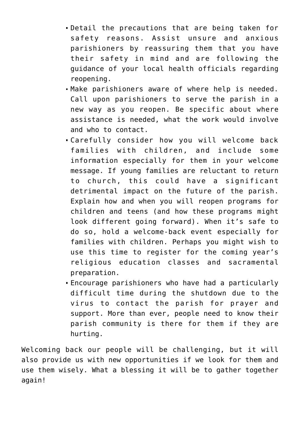- Detail the precautions that are being taken for safety reasons. Assist unsure and anxious parishioners by reassuring them that you have their safety in mind and are following the guidance of your local health officials regarding reopening.
- Make parishioners aware of where help is needed. Call upon parishioners to serve the parish in a new way as you reopen. Be specific about where assistance is needed, what the work would involve and who to contact.
- Carefully consider how you will welcome back families with children, and include some information especially for them in your welcome message. If young families are reluctant to return to church, this could have a significant detrimental impact on the future of the parish. Explain how and when you will reopen programs for children and teens (and how these programs might look different going forward). When it's safe to do so, hold a welcome-back event especially for families with children. Perhaps you might wish to use this time to register for the coming year's religious education classes and sacramental preparation.
- Encourage parishioners who have had a particularly difficult time during the shutdown due to the virus to contact the parish for prayer and support. More than ever, people need to know their parish community is there for them if they are hurting.

Welcoming back our people will be challenging, but it will also provide us with new opportunities if we look for them and use them wisely. What a blessing it will be to gather together again!